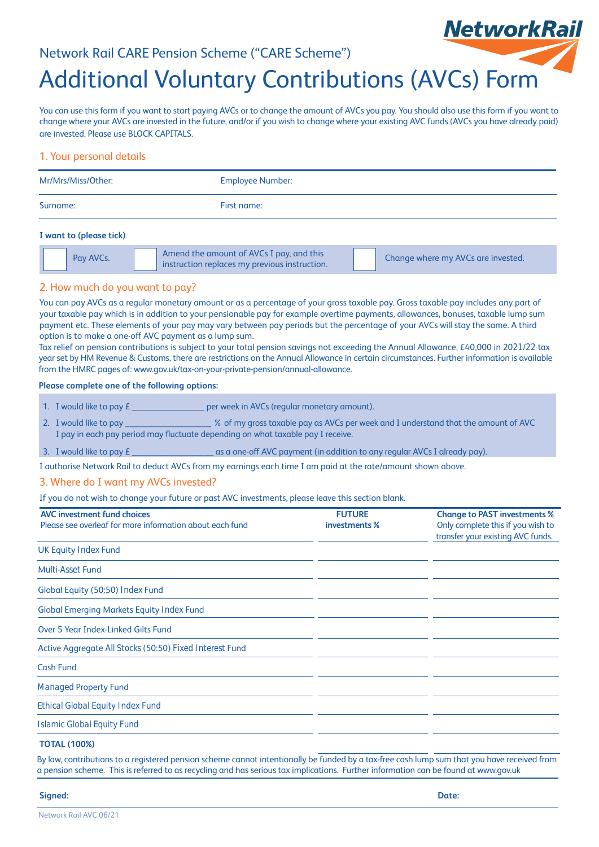### Network Rail CARE Pension Scheme ("CARE Scheme")



# Additional Voluntary Contributions (AVCs) Form

You can use this form if you want to start paying AVCs or to change the amount of AVCs you pay. You should also use this form if you want to change where your AVCs are invested in the future, and/or if you wish to change where your existing AVC funds (AVCs you have already paid) are invested. Please use BLOCK CAPITALS.

#### 1. Your personal details

| Mr/Mrs/Miss/Other: | <b>Employee Number:</b> |
|--------------------|-------------------------|
| Surname:           | First name:             |

#### **I want to (please tick)**

|--|

#### 2. How much do you want to pay?

You can pay AVCs as a regular monetary amount or as a percentage of your gross taxable pay. Gross taxable pay includes any part of your taxable pay which is in addition to your pensionable pay for example overtime payments, allowances, bonuses, taxable lump sum payment etc. These elements of your pay may vary between pay periods but the percentage of your AVCs will stay the same. A third option is to make a one-off AVC payment as a lump sum.

Tax relief on pension contributions is subject to your total pension savings not exceeding the Annual Allowance, £40,000 in 2021/22 tax year set by HM Revenue & Customs, there are restrictions on the Annual Allowance in certain circumstances. Further information is available from the HMRC pages of: www.gov.uk/tax-on-your-private-pension/annual-allowance.

#### **Please complete one of the following options:**

- 1. I would like to pay  $\epsilon$  and the set of per week in AVCs (regular monetary amount).
- 2. I would like to pay \_\_\_\_\_\_\_\_\_\_\_\_\_\_\_\_\_\_\_ % of my gross taxable pay as AVCs per week and I understand that the amount of AVC I pay in each pay period may fluctuate depending on what taxable pay I receive.
- 3. I would like to pay £ \_\_\_\_\_\_\_\_\_\_\_\_\_\_\_\_\_\_ as a one-off AVC payment (in addition to any regular AVCs I already pay).

I authorise Network Rail to deduct AVCs from my earnings each time I am paid at the rate/amount shown above.

#### 3. Where do I want my AVCs invested?

If you do not wish to change your future or past AVC investments, please leave this section blank.

| <b>AVC investment fund choices</b><br>Please see overleaf for more information about each fund | <b>FUTURE</b><br>investments % | <b>Change to PAST investments %</b><br>Only complete this if you wish to<br>transfer your existing AVC funds. |
|------------------------------------------------------------------------------------------------|--------------------------------|---------------------------------------------------------------------------------------------------------------|
| <b>UK Equity Index Fund</b>                                                                    |                                |                                                                                                               |
| <b>Multi-Asset Fund</b>                                                                        |                                |                                                                                                               |
| Global Equity (50:50) Index Fund                                                               |                                |                                                                                                               |
| <b>Global Emerging Markets Equity Index Fund</b>                                               |                                |                                                                                                               |
| <b>Over 5 Year Index-Linked Gilts Fund</b>                                                     |                                |                                                                                                               |
| Active Aggregate All Stocks (50:50) Fixed Interest Fund                                        |                                |                                                                                                               |
| <b>Cash Fund</b>                                                                               |                                |                                                                                                               |
| <b>Managed Property Fund</b>                                                                   |                                |                                                                                                               |
| <b>Ethical Global Equity Index Fund</b>                                                        |                                |                                                                                                               |
| <b>Islamic Global Equity Fund</b>                                                              |                                |                                                                                                               |
| <b>TOTAL LABOON</b>                                                                            |                                |                                                                                                               |

#### **TOTAL (100%)**

By law, contributions to a registered pension scheme cannot intentionally be funded by a tax-free cash lump sum that you have received from a pension scheme. This is referred to as recycling and has serious tax implications. Further information can be found at www.gov.uk

**Signed: Date:**